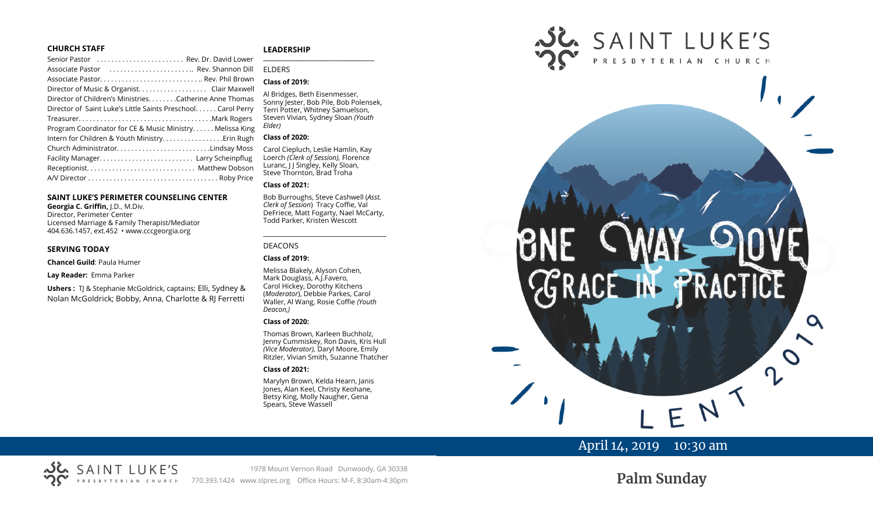#### **CHURCH STAFF**

| Senior Pastor  Rev. Dr. David Lower                          |
|--------------------------------------------------------------|
| Associate Pastor  Rev. Shannon Dill                          |
|                                                              |
| Director of Music & Organist. Clair Maxwell                  |
| Director of Children's Ministries. Catherine Anne Thomas     |
| Director of Saint Luke's Little Saints Preschool Carol Perry |
|                                                              |
| Program Coordinator for CE & Music Ministry Melissa King     |
|                                                              |
| Church AdministratorLindsay Moss                             |
|                                                              |
|                                                              |
|                                                              |
|                                                              |

#### **SAINT LUKE'S PERIMETER COUNSELING CENTER**

**Georgia C. Griffin,** J.D., M.Div. Director, Perimeter Center Licensed Marriage & Family Therapist/Mediator 404.636.1457, ext.452 • www.cccgeorgia.org

#### **SERVING TODAY**

**Chancel Guild**: Paula Humer

**Lay Reader:** Emma Parker

**Ushers :** TJ & Stephanie McGoldrick, captains; Elli, Sydney & Nolan McGoldrick; Bobby, Anna, Charlotte & RJ Ferretti

#### **LEADERSHIP**

#### **\_\_\_\_\_\_\_\_\_\_\_\_\_\_\_\_\_\_\_\_\_\_\_\_\_\_\_\_\_\_\_\_\_\_\_\_\_\_\_** ELDERS

#### **Class of 2019:**

Al Bridges, Beth Eisenmesser, Sonny Jester, Bob Pile, Bob Polensek, Terri Potter, Whitney Samuelson, Steven Vivian*,* Sydney Sloan *(Youth Elder)*

#### **Class of 2020:**

Carol Ciepluch, Leslie Hamlin, Kay Loerch *(Clerk of Session),* Florence Luranc, J J Singley, Kelly Sloan, Steve Thornton, Brad Troha

#### **Class of 2021:**

Bob Burroughs, Steve Cashwell (*Asst. Clerk of Session*) Tracy Coffie, Val DeFriece, Matt Fogarty, Nael McCarty, Todd Parker, Kristen Wescott

\_\_\_\_\_\_\_\_\_\_\_\_\_\_\_\_\_\_\_\_\_\_\_\_\_\_\_\_\_\_\_\_\_\_\_\_

#### DEACONS

#### **Class of 2019:**

Melissa Blakely, Alyson Cohen, Mark Douglass, A.J.Favero, Carol Hickey, Dorothy Kitchens (*Moderator*), Debbie Parkes, Carol Waller, Al Wang, Rosie Coffie *(Youth Deacon,)* 

#### **Class of 2020:**

Thomas Brown, Karleen Buchholz, Jenny Cummiskey, Ron Davis, Kris Hull *(Vice Moderator),* Daryl Moore, Emily Ritzler, Vivian Smith, Suzanne Thatcher

#### **Class of 2021:**

Marylyn Brown, Kelda Hearn, Janis Jones, Alan Keel, Christy Keohane, Betsy King, Molly Naugher, Gena Spears, Steve Wassell



# April 14, 2019 10:30 am

1978 Mount Vernon Road Dunwoody, GA 30338 770.393.1424 www.slpres.org Office Hours: M-F, 8:30am-4:30pm

**Palm Sunday**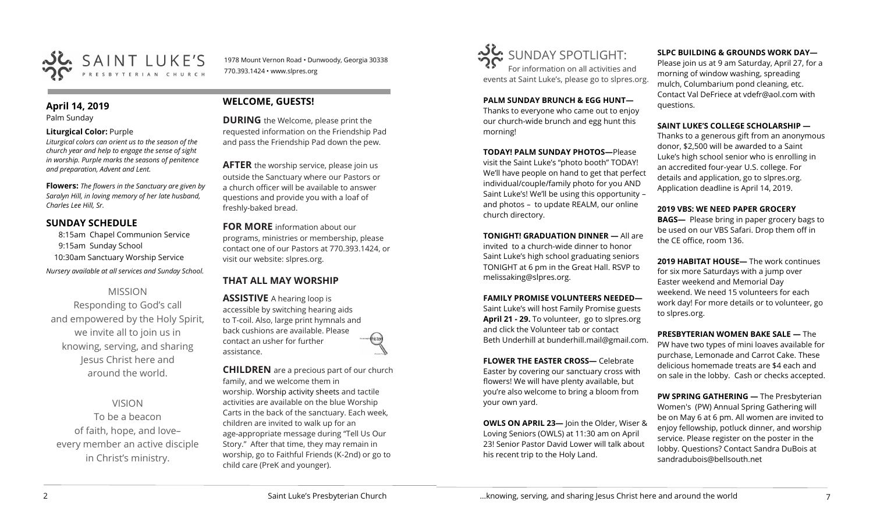

1978 Mount Vernon Road • Dunwoody, Georgia 30338 770.393.1424 • www.slpres.org

## **April 14, 2019**

Palm Sunday

## **Liturgical Color:** Purple

*Liturgical colors can orient us to the season of the church year and help to engage the sense of sight in worship. Purple marks the seasons of penitence and preparation, Advent and Lent.*

**Flowers:** *The flowers in the Sanctuary are given by Saralyn Hill, in loving memory of her late husband, Charles Lee Hill, Sr.*

# **SUNDAY SCHEDULE**

8:15am Chapel Communion Service 9:15am Sunday School 10:30am Sanctuary Worship Service *Nursery available at all services and Sunday School.* 

# MISSION

Responding to God's call and empowered by the Holy Spirit, we invite all to join us in knowing, serving, and sharing Jesus Christ here and around the world.

VISION

To be a beacon of faith, hope, and love– every member an active disciple in Christ's ministry.

# **WELCOME, GUESTS!**

**DURING** the Welcome, please print the requested information on the Friendship Pad and pass the Friendship Pad down the pew.

**AFTER** the worship service, please join us outside the Sanctuary where our Pastors or a church officer will be available to answer questions and provide you with a loaf of freshly-baked bread.

**FOR MORE** information about our programs, ministries or membership, please contact one of our Pastors at 770.393.1424, or visit our website: slpres.org.

# **THAT ALL MAY WORSHIP**

**ASSISTIVE** A hearing loop is accessible by switching hearing aids to T-coil. Also, large print hymnals and back cushions are available. Please contact an usher for further assistance.

**CHILDREN** are a precious part of our church family, and we welcome them in worship. Worship activity sheets and tactile activities are available on the blue Worship Carts in the back of the sanctuary. Each week, children are invited to walk up for an age-appropriate message during "Tell Us Our Story." After that time, they may remain in worship, go to Faithful Friends (K-2nd) or go to child care (PreK and younger).



**PALM SUNDAY BRUNCH & EGG HUNT—** Thanks to everyone who came out to enjoy our church-wide brunch and egg hunt this morning!

**TODAY! PALM SUNDAY PHOTOS—**Please visit the Saint Luke's "photo booth" TODAY! We'll have people on hand to get that perfect individual/couple/family photo for you AND Saint Luke's! We'll be using this opportunity – and photos – to update REALM, our online church directory.

**TONIGHT! GRADUATION DINNER —** All are invited to a church-wide dinner to honor Saint Luke's high school graduating seniors TONIGHT at 6 pm in the Great Hall. RSVP to melissaking@slpres.org.

### **FAMILY PROMISE VOLUNTEERS NEEDED—**

Saint Luke's will host Family Promise guests **April 21 - 29.** To volunteer, go to slpres.org and click the Volunteer tab or contact Beth Underhill at bunderhill.mail@gmail.com.

**FLOWER THE EASTER CROSS—** Celebrate Easter by covering our sanctuary cross with flowers! We will have plenty available, but you're also welcome to bring a bloom from your own yard.

**OWLS ON APRIL 23—** Join the Older, Wiser & Loving Seniors (OWLS) at 11:30 am on April 23! Senior Pastor David Lower will talk about his recent trip to the Holy Land.

## **SLPC BUILDING & GROUNDS WORK DAY—**

Please join us at 9 am Saturday, April 27, for a morning of window washing, spreading mulch, Columbarium pond cleaning, etc. Contact Val DeFriece at vdefr@aol.com with questions.

## **SAINT LUKE'S COLLEGE SCHOLARSHIP —**

Thanks to a generous gift from an anonymous donor, \$2,500 will be awarded to a Saint Luke's high school senior who is enrolling in an accredited four-year U.S. college. For details and application, go to slpres.org. Application deadline is April 14, 2019.

## **2019 VBS: WE NEED PAPER GROCERY**

**BAGS—** Please bring in paper grocery bags to be used on our VBS Safari. Drop them off in the CE office, room 136.

**2019 HABITAT HOUSE—** The work continues for six more Saturdays with a jump over Easter weekend and Memorial Day weekend. We need 15 volunteers for each work day! For more details or to volunteer, go to slpres.org.

**PRESBYTERIAN WOMEN BAKE SALE —** The PW have two types of mini loaves available for purchase, Lemonade and Carrot Cake. These delicious homemade treats are \$4 each and on sale in the lobby. Cash or checks accepted.

**PW SPRING GATHERING —** The Presbyterian Women's (PW) Annual Spring Gathering will be on May 6 at 6 pm. All women are invited to enjoy fellowship, potluck dinner, and worship service. Please register on the poster in the lobby. Questions? Contact Sandra DuBois at [sandradubois@bellsouth.net](mailto:sandradubois@bellsouth.net)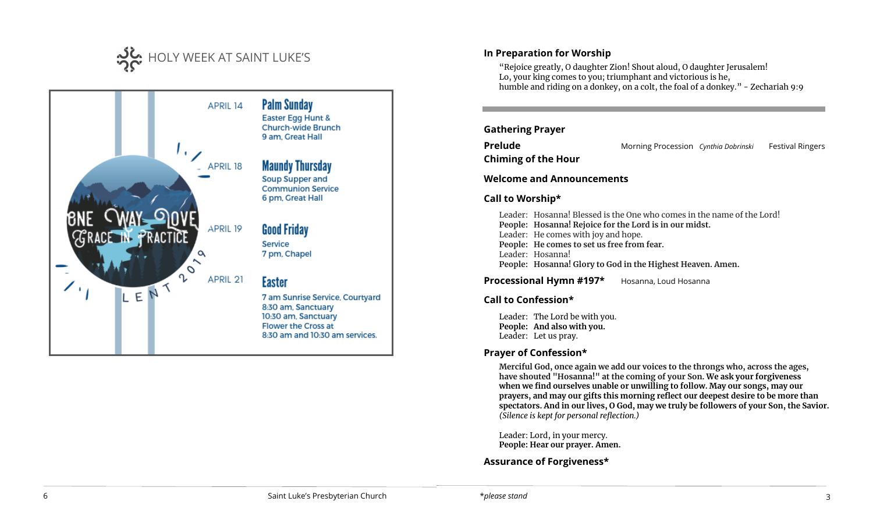



# **In Preparation for Worship**

"Rejoice greatly, O daughter Zion! Shout aloud, O daughter Jerusalem! Lo, your king comes to you; triumphant and victorious is he, humble and riding on a donkey, on a colt, the foal of a donkey." - Zechariah 9:9

## **Gathering Prayer**

**Prelude** Morning Procession *Cynthia Dobrinski* Festival Ringers

**Chiming of the Hour**

### **Welcome and Announcements**

## **Call to Worship\***

Leader: Hosanna! Blessed is the One who comes in the name of the Lord! **People: Hosanna! Rejoice for the Lord is in our midst.** Leader: He comes with joy and hope. **People: He comes to set us free from fear.** Leader: Hosanna! **People: Hosanna! Glory to God in the Highest Heaven. Amen.**

**Processional Hymn #197\*** Hosanna, Loud Hosanna

## **Call to Confession\***

Leader: The Lord be with you. **People: And also with you.**  Leader: Let us pray.

## **Prayer of Confession\***

**Merciful God, once again we add our voices to the throngs who, across the ages, have shouted "Hosanna!" at the coming of your Son. We ask your forgiveness when we find ourselves unable or unwilling to follow. May our songs, may our prayers, and may our gifts this morning reflect our deepest desire to be more than spectators. And in our lives, O God, may we truly be followers of your Son, the Savior.** *(Silence is kept for personal reflection.)*

Leader: Lord, in your mercy. **People: Hear our prayer. Amen.**

**Assurance of Forgiveness\***